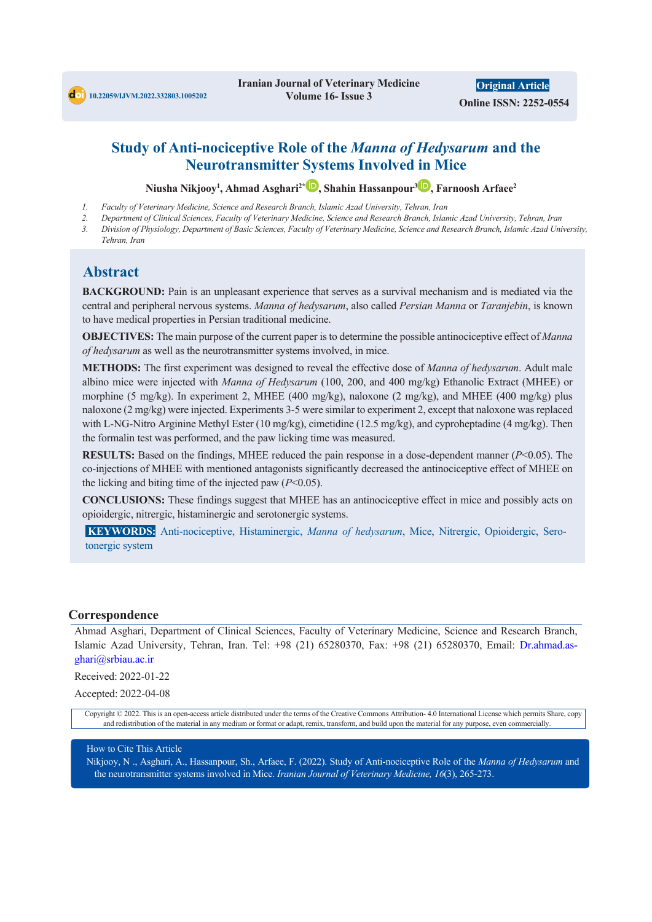**d**ot 10.22059/IJVM.2022.332803.1005202

**Iranian Journal of Veterinary Medicine Volume 16- Issue 3** 

**Original Article Online ISSN: 2252-0554**

# **Study of Anti-nociceptive Role of the** *Manna of Hedysarum* **and the Neurotransmitter Systems Involved in Mice**

**Niusha Nikjooy1 , Ahmad Asghari2\* , Shahin Hassanpour3 , Farnoosh Arfaee2**

- *1. Faculty of Veterinary Medicine, Science and Research Branch, Islamic Azad University, Tehran, Iran*
- *2. Department of Clinical Sciences, Faculty of Veterinary Medicine, Science and Research Branch, Islamic Azad University, Tehran, Iran*
- *3. Division of Physiology, Department of Basic Sciences, Faculty of Veterinary Medicine, Science and Research Branch, Islamic Azad University, Tehran, Iran*

## **Abstract**

**BACKGROUND:** Pain is an unpleasant experience that serves as a survival mechanism and is mediated via the central and peripheral nervous systems. *Manna of hedysarum*, also called *Persian Manna* or *Taranjebin*, is known to have medical properties in Persian traditional medicine.

**OBJECTIVES:** The main purpose of the current paper is to determine the possible antinociceptive effect of *Manna of hedysarum* as well as the neurotransmitter systems involved, in mice.

**METHODS:** The first experiment was designed to reveal the effective dose of *Manna of hedysarum*. Adult male albino mice were injected with *Manna of Hedysarum* (100, 200, and 400 mg/kg) Ethanolic Extract (MHEE) or morphine (5 mg/kg). In experiment 2, MHEE (400 mg/kg), naloxone (2 mg/kg), and MHEE (400 mg/kg) plus naloxone (2 mg/kg) were injected. Experiments 3-5 were similar to experiment 2, except that naloxone was replaced with L-NG-Nitro Arginine Methyl Ester (10 mg/kg), cimetidine (12.5 mg/kg), and cyproheptadine (4 mg/kg). Then the formalin test was performed, and the paw licking time was measured.

**RESULTS:** Based on the findings, MHEE reduced the pain response in a dose-dependent manner (*P*<0.05). The co-injections of MHEE with mentioned antagonists significantly decreased the antinociceptive effect of MHEE on the licking and biting time of the injected paw (*P*<0.05).

**CONCLUSIONS:** These findings suggest that MHEE has an antinociceptive effect in mice and possibly acts on opioidergic, nitrergic, histaminergic and serotonergic systems.

**KEYWORDS:** Anti-nociceptive, Histaminergic, *Manna of hedysarum*, Mice, Nitrergic, Opioidergic, Serotonergic system

#### **Correspondence**

Ahmad Asghari, Department of Clinical Sciences, Faculty of Veterinary Medicine, Science and Research Branch, Islamic Azad University, Tehran, Iran. Tel: +98 (21) 65280370, Fax: +98 (21) 65280370, Email: Dr.ahmad.asghari@srbiau.ac.ir

Received: 2022-01-22

Accepted: 2022-04-08

Copyright © 2022. This is an open-access article distributed under the terms of the Creative Commons Attribution- 4.0 International License which permits Share, copy and redistribution of the material in any medium or format or adapt, remix, transform, and build upon the material for any purpose, even commercially.

#### How to Cite This Article

Nikjooy, N ., Asghari, A., Hassanpour, Sh., Arfaee, F. (2022). Study of Anti-nociceptive Role of the *Manna of Hedysarum* and the neurotransmitter systems involved in Mice. *Iranian Journal of Veterinary Medicine, 16*(3), 265-273.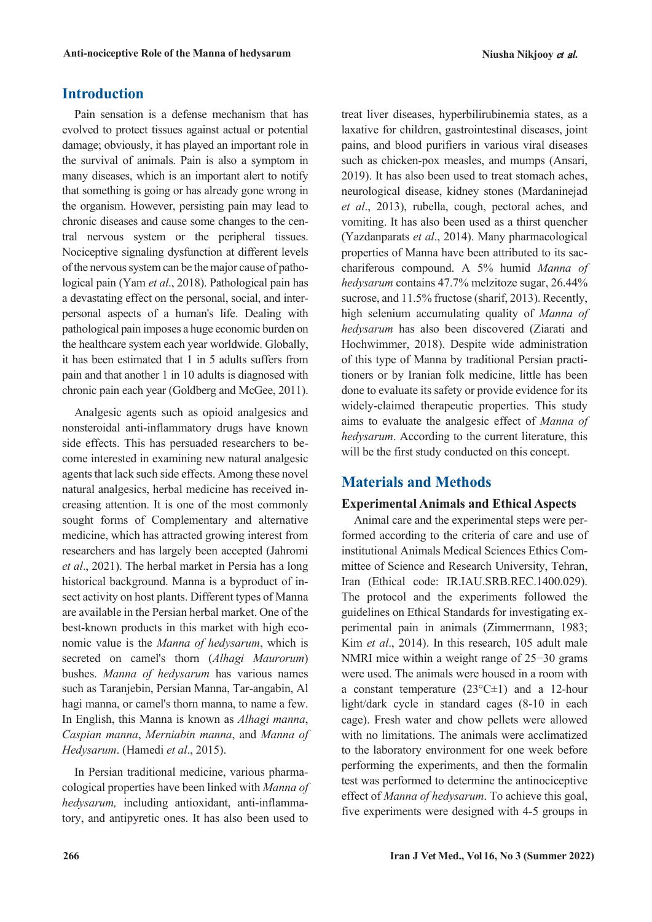# **Introduction**

Pain sensation is a defense mechanism that has evolved to protect tissues against actual or potential damage; obviously, it has played an important role in the survival of animals. Pain is also a symptom in many diseases, which is an important alert to notify that something is going or has already gone wrong in the organism. However, persisting pain may lead to chronic diseases and cause some changes to the central nervous system or the peripheral tissues. Nociceptive signaling dysfunction at different levels of the nervous system can be the major cause of pathological pain (Yam *et al*., 2018). Pathological pain has a devastating effect on the personal, social, and interpersonal aspects of a human's life. Dealing with pathological pain imposes a huge economic burden on the healthcare system each year worldwide. Globally, it has been estimated that 1 in 5 adults suffers from pain and that another 1 in 10 adults is diagnosed with chronic pain each year (Goldberg and McGee, 2011).

Analgesic agents such as opioid analgesics and nonsteroidal anti-inflammatory drugs have known side effects. This has persuaded researchers to become interested in examining new natural analgesic agents that lack such side effects. Among these novel natural analgesics, herbal medicine has received increasing attention. It is one of the most commonly sought forms of Complementary and alternative medicine, which has attracted growing interest from researchers and has largely been accepted (Jahromi *et al*., 2021). The herbal market in Persia has a long historical background. Manna is a byproduct of insect activity on host plants. Different types of Manna are available in the Persian herbal market. One of the best-known products in this market with high economic value is the *Manna of hedysarum*, which is secreted on camel's thorn (*Alhagi Maurorum*) bushes. *Manna of hedysarum* has various names such as Taranjebin, Persian Manna, Tar-angabin, Al hagi manna, or camel's thorn manna, to name a few. In English, this Manna is known as *Alhagi manna*, *Caspian manna*, *Merniabin manna*, and *Manna of Hedysarum*. (Hamedi *et al*., 2015).

In Persian traditional medicine, various pharmacological properties have been linked with *Manna of hedysarum,* including antioxidant, anti-inflammatory, and antipyretic ones. It has also been used to

treat liver diseases, hyperbilirubinemia states, as a laxative for children, gastrointestinal diseases, joint pains, and blood purifiers in various viral diseases such as chicken-pox measles, and mumps (Ansari, 2019). It has also been used to treat stomach aches, neurological disease, kidney stones (Mardaninejad *et al*., 2013), rubella, cough, pectoral aches, and vomiting. It has also been used as a thirst quencher (Yazdanparats *et al*., 2014). Many pharmacological properties of Manna have been attributed to its sacchariferous compound. A 5% humid *Manna of hedysarum* contains 47.7% melzitoze sugar, 26.44% sucrose, and 11.5% fructose (sharif, 2013). Recently, high selenium accumulating quality of *Manna of hedysarum* has also been discovered (Ziarati and Hochwimmer, 2018). Despite wide administration of this type of Manna by traditional Persian practitioners or by Iranian folk medicine, little has been done to evaluate its safety or provide evidence for its widely-claimed therapeutic properties. This study aims to evaluate the analgesic effect of *Manna of hedysarum*. According to the current literature, this will be the first study conducted on this concept.

#### **Materials and Methods**

#### **Experimental Animals and Ethical Aspects**

Animal care and the experimental steps were performed according to the criteria of care and use of institutional Animals Medical Sciences Ethics Committee of Science and Research University, Tehran, Iran (Ethical code: IR.IAU.SRB.REC.1400.029). The protocol and the experiments followed the guidelines on Ethical Standards for investigating experimental pain in animals (Zimmermann, 1983; Kim *et al*., 2014). In this research, 105 adult male NMRI mice within a weight range of 25−30 grams were used. The animals were housed in a room with a constant temperature  $(23^{\circ}C \pm 1)$  and a 12-hour light/dark cycle in standard cages (8-10 in each cage). Fresh water and chow pellets were allowed with no limitations. The animals were acclimatized to the laboratory environment for one week before performing the experiments, and then the formalin test was performed to determine the antinociceptive effect of *Manna of hedysarum*. To achieve this goal, five experiments were designed with 4-5 groups in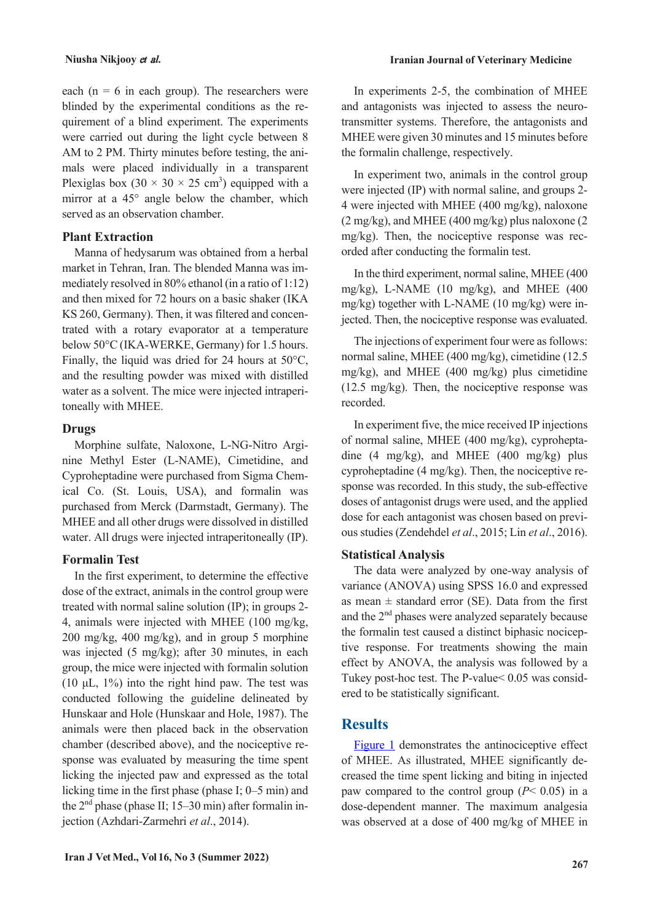each ( $n = 6$  in each group). The researchers were blinded by the experimental conditions as the requirement of a blind experiment. The experiments were carried out during the light cycle between 8 AM to 2 PM. Thirty minutes before testing, the animals were placed individually in a transparent Plexiglas box  $(30 \times 30 \times 25 \text{ cm}^3)$  equipped with a mirror at a 45° angle below the chamber, which served as an observation chamber.

#### **Plant Extraction**

Manna of hedysarum was obtained from a herbal market in Tehran, Iran. The blended Manna was immediately resolved in 80% ethanol (in a ratio of 1:12) and then mixed for 72 hours on a basic shaker (IKA KS 260, Germany). Then, it was filtered and concentrated with a rotary evaporator at a temperature below 50°C (IKA-WERKE, Germany) for 1.5 hours. Finally, the liquid was dried for 24 hours at 50°C, and the resulting powder was mixed with distilled water as a solvent. The mice were injected intraperitoneally with MHEE.

#### **Drugs**

Morphine sulfate, Naloxone, L-NG-Nitro Arginine Methyl Ester (L-NAME), Cimetidine, and Cyproheptadine were purchased from Sigma Chemical Co. (St. Louis, USA), and formalin was purchased from Merck (Darmstadt, Germany). The MHEE and all other drugs were dissolved in distilled water. All drugs were injected intraperitoneally (IP).

#### **Formalin Test**

In the first experiment, to determine the effective dose of the extract, animals in the control group were treated with normal saline solution (IP); in groups 2- 4, animals were injected with MHEE (100 mg/kg, 200 mg/kg, 400 mg/kg), and in group 5 morphine was injected (5 mg/kg); after 30 minutes, in each group, the mice were injected with formalin solution (10  $\mu$ L, 1%) into the right hind paw. The test was conducted following the guideline delineated by Hunskaar and Hole (Hunskaar and Hole, 1987). The animals were then placed back in the observation chamber (described above), and the nociceptive response was evaluated by measuring the time spent licking the injected paw and expressed as the total licking time in the first phase (phase I; 0–5 min) and the  $2<sup>nd</sup>$  phase (phase II; 15–30 min) after formalin injection (Azhdari-Zarmehri *et al*., 2014).

In experiments 2-5, the combination of MHEE and antagonists was injected to assess the neurotransmitter systems. Therefore, the antagonists and MHEE were given 30 minutes and 15 minutes before the formalin challenge, respectively.

In experiment two, animals in the control group were injected (IP) with normal saline, and groups 2- 4 were injected with MHEE (400 mg/kg), naloxone (2 mg/kg), and MHEE (400 mg/kg) plus naloxone (2 mg/kg). Then, the nociceptive response was recorded after conducting the formalin test.

In the third experiment, normal saline, MHEE (400 mg/kg), L-NAME (10 mg/kg), and MHEE (400 mg/kg) together with L-NAME (10 mg/kg) were injected. Then, the nociceptive response was evaluated.

The injections of experiment four were as follows: normal saline, MHEE (400 mg/kg), cimetidine (12.5 mg/kg), and MHEE (400 mg/kg) plus cimetidine (12.5 mg/kg). Then, the nociceptive response was recorded.

In experiment five, the mice received IP injections of normal saline, MHEE (400 mg/kg), cyproheptadine (4 mg/kg), and MHEE (400 mg/kg) plus cyproheptadine (4 mg/kg). Then, the nociceptive response was recorded. In this study, the sub-effective doses of antagonist drugs were used, and the applied dose for each antagonist was chosen based on previous studies (Zendehdel *et al*., 2015; Lin *et al*., 2016).

#### **Statistical Analysis**

The data were analyzed by one-way analysis of variance (ANOVA) using SPSS 16.0 and expressed as mean  $\pm$  standard error (SE). Data from the first and the 2nd phases were analyzed separately because the formalin test caused a distinct biphasic nociceptive response. For treatments showing the main effect by ANOVA, the analysis was followed by a Tukey post-hoc test. The P-value< 0.05 was considered to be statistically significant.

## **Results**

[Figure 1](#page-3-0) demonstrates the antinociceptive effect of MHEE. As illustrated, MHEE significantly decreased the time spent licking and biting in injected paw compared to the control group  $(P< 0.05)$  in a dose-dependent manner. The maximum analgesia was observed at a dose of 400 mg/kg of MHEE in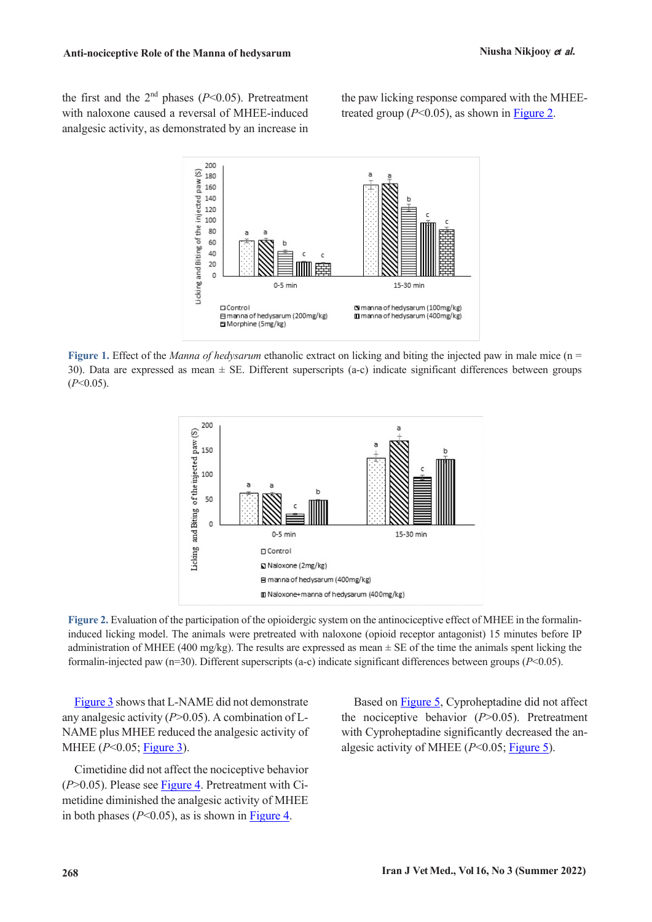the first and the  $2<sup>nd</sup>$  phases ( $P<0.05$ ). Pretreatment with naloxone caused a reversal of MHEE-induced analgesic activity, as demonstrated by an increase in

the paw licking response compared with the MHEEtreated group  $(P<0.05)$ , as shown in [Figure 2.](#page-3-1)



<span id="page-3-0"></span>**Figure 1.** Effect of the *Manna of hedysarum* ethanolic extract on licking and biting the injected paw in male mice (n = 30). Data are expressed as mean  $\pm$  SE. Different superscripts (a-c) indicate significant differences between groups (*P*<0.05).



<span id="page-3-1"></span>**Figure 2.** Evaluation of the participation of the opioidergic system on the antinociceptive effect of MHEE in the formalininduced licking model. The animals were pretreated with naloxone (opioid receptor antagonist) 15 minutes before IP administration of MHEE (400 mg/kg). The results are expressed as mean  $\pm$  SE of the time the animals spent licking the formalin-injected paw (n=30). Different superscripts (a-c) indicate significant differences between groups (*P*<0.05).

[Figure 3](#page-4-0) shows that L-NAME did not demonstrate any analgesic activity (*P*>0.05). A combination of L-NAME plus MHEE reduced the analgesic activity of MHEE (*P*<0.05; [Figure 3\)](#page-4-0).

Cimetidine did not affect the nociceptive behavior (*P*>0.05). Please see [Figure 4.](#page-4-1) Pretreatment with Cimetidine diminished the analgesic activity of MHEE in both phases  $(P<0.05)$ , as is shown in Figure 4.

Based on [Figure 5,](#page-4-2) Cyproheptadine did not affect the nociceptive behavior (*P*>0.05). Pretreatment with Cyproheptadine significantly decreased the analgesic activity of MHEE (*P*<0.05; [Figure 5\)](#page-4-2).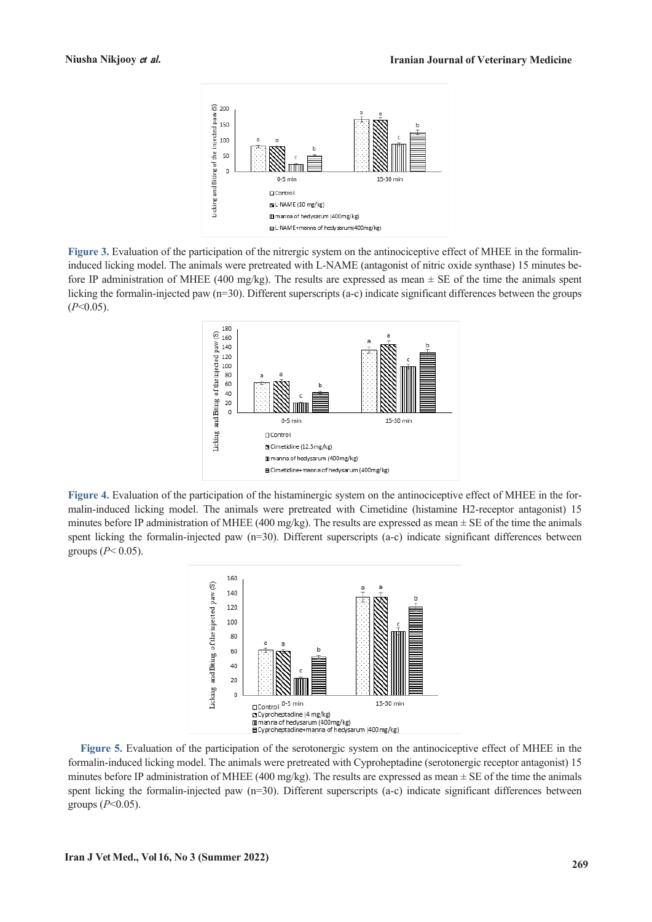

<span id="page-4-0"></span>**Figure 3.** Evaluation of the participation of the nitrergic system on the antinociceptive effect of MHEE in the formalininduced licking model. The animals were pretreated with L-NAME (antagonist of nitric oxide synthase) 15 minutes before IP administration of MHEE (400 mg/kg). The results are expressed as mean  $\pm$  SE of the time the animals spent licking the formalin-injected paw (n=30). Different superscripts (a-c) indicate significant differences between the groups (*P*<0.05).



<span id="page-4-1"></span>**Figure 4.** Evaluation of the participation of the histaminergic system on the antinociceptive effect of MHEE in the formalin-induced licking model. The animals were pretreated with Cimetidine (histamine H2-receptor antagonist) 15 minutes before IP administration of MHEE (400 mg/kg). The results are expressed as mean  $\pm$  SE of the time the animals spent licking the formalin-injected paw (n=30). Different superscripts (a-c) indicate significant differences between groups (*P*< 0.05).



<span id="page-4-2"></span>**Figure 5.** Evaluation of the participation of the serotonergic system on the antinociceptive effect of MHEE in the formalin-induced licking model. The animals were pretreated with Cyproheptadine (serotonergic receptor antagonist) 15 minutes before IP administration of MHEE (400 mg/kg). The results are expressed as mean  $\pm$  SE of the time the animals spent licking the formalin-injected paw  $(n=30)$ . Different superscripts  $(a-c)$  indicate significant differences between groups  $(P<0.05)$ .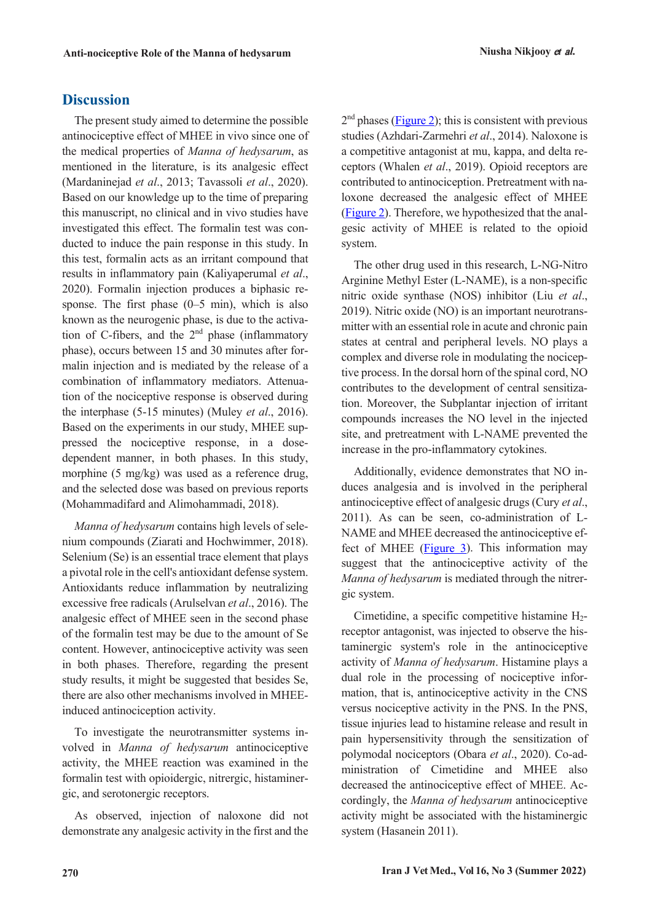## **Discussion**

The present study aimed to determine the possible antinociceptive effect of MHEE in vivo since one of the medical properties of *Manna of hedysarum*, as mentioned in the literature, is its analgesic effect (Mardaninejad *et al*., 2013; Tavassoli *et al*., 2020). Based on our knowledge up to the time of preparing this manuscript, no clinical and in vivo studies have investigated this effect. The formalin test was conducted to induce the pain response in this study. In this test, formalin acts as an irritant compound that results in inflammatory pain (Kaliyaperumal *et al*., 2020). Formalin injection produces a biphasic response. The first phase  $(0-5 \text{ min})$ , which is also known as the neurogenic phase, is due to the activation of C-fibers, and the  $2<sup>nd</sup>$  phase (inflammatory phase), occurs between 15 and 30 minutes after formalin injection and is mediated by the release of a combination of inflammatory mediators. Attenuation of the nociceptive response is observed during the interphase (5-15 minutes) (Muley *et al*., 2016). Based on the experiments in our study, MHEE suppressed the nociceptive response, in a dosedependent manner, in both phases. In this study, morphine (5 mg/kg) was used as a reference drug, and the selected dose was based on previous reports (Mohammadifard and Alimohammadi, 2018).

*Manna of hedysarum* contains high levels of selenium compounds (Ziarati and Hochwimmer, 2018). Selenium (Se) is an essential trace element that plays a pivotal role in the cell's antioxidant defense system. Antioxidants reduce inflammation by neutralizing excessive free radicals (Arulselvan *et al*., 2016). The analgesic effect of MHEE seen in the second phase of the formalin test may be due to the amount of Se content. However, antinociceptive activity was seen in both phases. Therefore, regarding the present study results, it might be suggested that besides Se, there are also other mechanisms involved in MHEEinduced antinociception activity.

To investigate the neurotransmitter systems involved in *Manna of hedysarum* antinociceptive activity, the MHEE reaction was examined in the formalin test with opioidergic, nitrergic, histaminergic, and serotonergic receptors.

As observed, injection of naloxone did not demonstrate any analgesic activity in the first and the  $2<sup>nd</sup>$  phases [\(Figure 2\)](#page-3-1); this is consistent with previous studies (Azhdari-Zarmehri *et al*., 2014). Naloxone is a competitive antagonist at mu, kappa, and delta receptors (Whalen *et al*., 2019). Opioid receptors are contributed to antinociception. Pretreatment with naloxone decreased the analgesic effect of MHEE [\(Figure 2\)](#page-3-1). Therefore, we hypothesized that the analgesic activity of MHEE is related to the opioid system.

The other drug used in this research, L-NG-Nitro Arginine Methyl Ester (L-NAME), is a non-specific nitric oxide synthase (NOS) inhibitor (Liu *et al*., 2019). Nitric oxide (NO) is an important neurotransmitter with an essential role in acute and chronic pain states at central and peripheral levels. NO plays a complex and diverse role in modulating the nociceptive process. In the dorsal horn of the spinal cord, NO contributes to the development of central sensitization. Moreover, the Subplantar injection of irritant compounds increases the NO level in the injected site, and pretreatment with L-NAME prevented the increase in the pro-inflammatory cytokines.

Additionally, evidence demonstrates that NO induces analgesia and is involved in the peripheral antinociceptive effect of analgesic drugs (Cury *et al*., 2011). As can be seen, co-administration of L-NAME and MHEE decreased the antinociceptive effect of MHEE [\(Figure 3\)](#page-4-0). This information may suggest that the antinociceptive activity of the *Manna of hedysarum* is mediated through the nitrergic system.

Cimetidine, a specific competitive histamine H2 receptor antagonist, was injected to observe the histaminergic system's role in the antinociceptive activity of *Manna of hedysarum*. Histamine plays a dual role in the processing of nociceptive information, that is, antinociceptive activity in the CNS versus nociceptive activity in the PNS. In the PNS, tissue injuries lead to histamine release and result in pain hypersensitivity through the sensitization of polymodal nociceptors (Obara *et al*., 2020). Co-administration of Cimetidine and MHEE also decreased the antinociceptive effect of MHEE. Accordingly, the *Manna of hedysarum* antinociceptive activity might be associated with the histaminergic system (Hasanein 2011).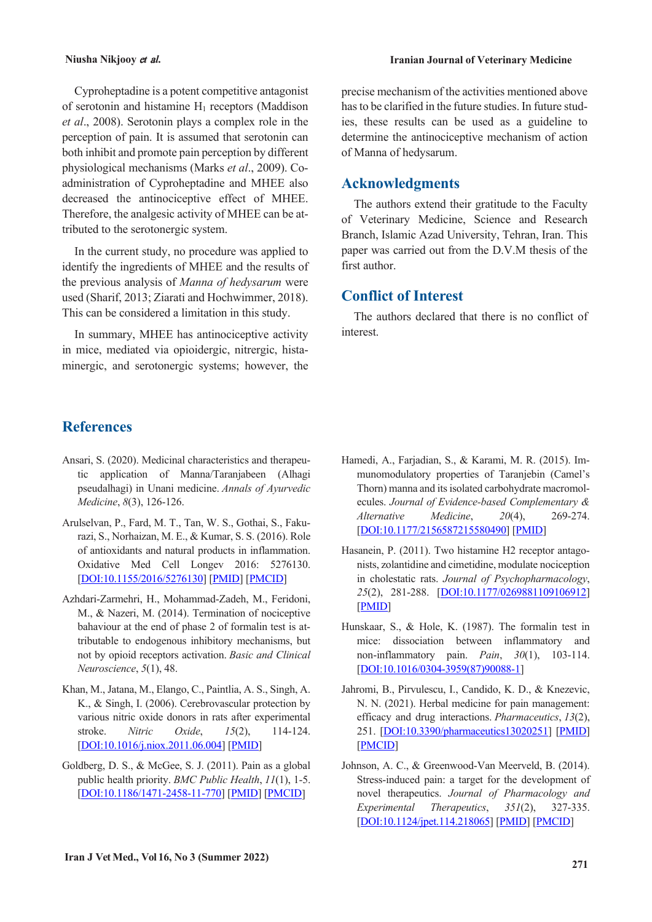Cyproheptadine is a potent competitive antagonist of serotonin and histamine  $H_1$  receptors (Maddison *et al*., 2008). Serotonin plays a complex role in the perception of pain. It is assumed that serotonin can both inhibit and promote pain perception by different physiological mechanisms (Marks *et al*., 2009). Coadministration of Cyproheptadine and MHEE also decreased the antinociceptive effect of MHEE. Therefore, the analgesic activity of MHEE can be attributed to the serotonergic system.

In the current study, no procedure was applied to identify the ingredients of MHEE and the results of the previous analysis of *Manna of hedysarum* were used (Sharif, 2013; Ziarati and Hochwimmer, 2018). This can be considered a limitation in this study.

In summary, MHEE has antinociceptive activity in mice, mediated via opioidergic, nitrergic, histaminergic, and serotonergic systems; however, the precise mechanism of the activities mentioned above has to be clarified in the future studies. In future studies, these results can be used as a guideline to determine the antinociceptive mechanism of action of Manna of hedysarum.

### **Acknowledgments**

The authors extend their gratitude to the Faculty of Veterinary Medicine, Science and Research Branch, Islamic Azad University, Tehran, Iran. This paper was carried out from the D.V.M thesis of the first author.

# **Conflict of Interest**

The authors declared that there is no conflict of interest.

# **References**

- Ansari, S. (2020). Medicinal characteristics and therapeutic application of Manna/Taranjabeen (Alhagi pseudalhagi) in Unani medicine. *Annals of Ayurvedic Medicine*, *8*(3), 126-126.
- Arulselvan, P., Fard, M. T., Tan, W. S., Gothai, S., Fakurazi, S., Norhaizan, M. E., & Kumar, S. S. (2016). Role of antioxidants and natural products in inflammation. Oxidative Med Cell Longev 2016: 5276130. [DOI:10.1155/2016/5276130] [PMID] [PMCID]
- Azhdari-Zarmehri, H., Mohammad-Zadeh, M., Feridoni, M., & Nazeri, M. (2014). Termination of nociceptive bahaviour at the end of phase 2 of formalin test is attributable to endogenous inhibitory mechanisms, but not by opioid receptors activation. *Basic and Clinical Neuroscience*, *5*(1), 48.
- Khan, M., Jatana, M., Elango, C., Paintlia, A. S., Singh, A. K., & Singh, I. (2006). Cerebrovascular protection by various nitric oxide donors in rats after experimental stroke. *Nitric Oxide*, *15*(2), 114-124. [DOI:10.1016/j.niox.2011.06.004] [PMID]
- Goldberg, D. S., & McGee, S. J. (2011). Pain as a global public health priority. *BMC Public Health*, *11*(1), 1-5. [DOI:10.1186/1471-2458-11-770] [PMID] [PMCID]
- Hamedi, A., Farjadian, S., & Karami, M. R. (2015). Immunomodulatory properties of Taranjebin (Camel's Thorn) manna and its isolated carbohydrate macromolecules. *Journal of Evidence-based Complementary & Alternative Medicine*, *20*(4), 269-274. [DOI:10.1177/2156587215580490] [PMID]
- Hasanein, P. (2011). Two histamine H2 receptor antagonists, zolantidine and cimetidine, modulate nociception in cholestatic rats. *Journal of Psychopharmacology*, *25*(2), 281-288. [DOI:10.1177/0269881109106912] [PMID]
- Hunskaar, S., & Hole, K. (1987). The formalin test in mice: dissociation between inflammatory and non-inflammatory pain. *Pain*, *30*(1), 103-114. [DOI:10.1016/0304-3959(87)90088-1]
- Jahromi, B., Pirvulescu, I., Candido, K. D., & Knezevic, N. N. (2021). Herbal medicine for pain management: efficacy and drug interactions. *Pharmaceutics*, *13*(2), 251. [DOI:10.3390/pharmaceutics13020251] [PMID] [PMCID]
- Johnson, A. C., & Greenwood-Van Meerveld, B. (2014). Stress-induced pain: a target for the development of novel therapeutics. *Journal of Pharmacology and Experimental Therapeutics*, *351*(2), 327-335. [DOI:10.1124/jpet.114.218065] [PMID] [PMCID]

#### **Niusha Nikjooy** <sup>e</sup>*t* a*l.* **Iranian Journal of Veterinary Medicine**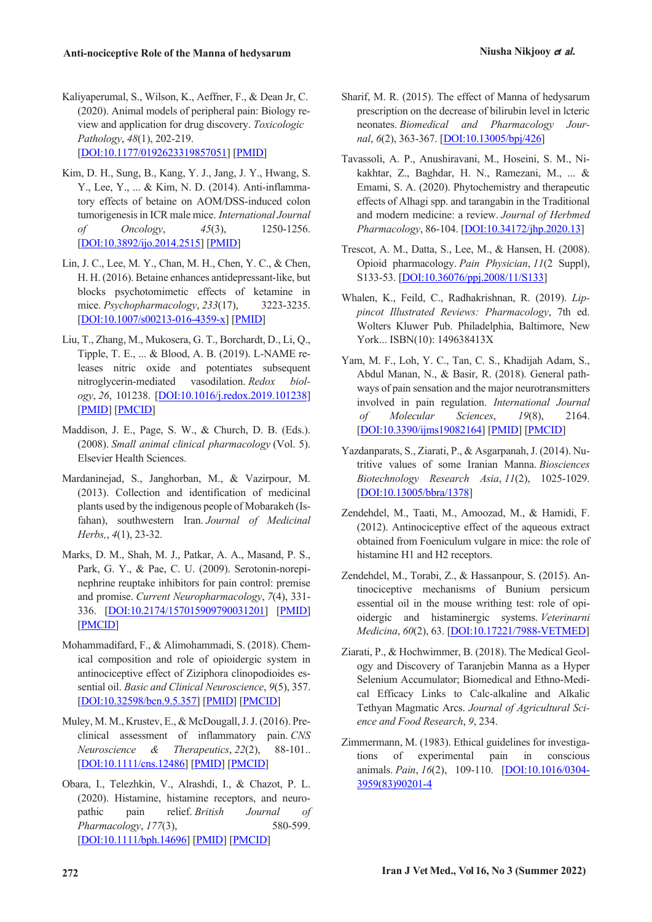- Kaliyaperumal, S., Wilson, K., Aeffner, F., & Dean Jr, C. (2020). Animal models of peripheral pain: Biology review and application for drug discovery. *Toxicologic Pathology*, *48*(1), 202-219. [DOI:10.1177/0192623319857051] [PMID]
- Kim, D. H., Sung, B., Kang, Y. J., Jang, J. Y., Hwang, S. Y., Lee, Y., ... & Kim, N. D. (2014). Anti-inflammatory effects of betaine on AOM/DSS-induced colon tumorigenesis in ICR male mice. *International Journal of Oncology*, *45*(3), 1250-1256. [DOI:10.3892/ijo.2014.2515] [PMID]
- Lin, J. C., Lee, M. Y., Chan, M. H., Chen, Y. C., & Chen, H. H. (2016). Betaine enhances antidepressant-like, but blocks psychotomimetic effects of ketamine in mice. *Psychopharmacology*, *233*(17), 3223-3235. [DOI:10.1007/s00213-016-4359-x] [PMID]
- Liu, T., Zhang, M., Mukosera, G. T., Borchardt, D., Li, Q., Tipple, T. E., ... & Blood, A. B. (2019). L-NAME releases nitric oxide and potentiates subsequent nitroglycerin-mediated vasodilation. *Redox biology*, *26*, 101238. [DOI:10.1016/j.redox.2019.101238] [PMID] [PMCID]
- Maddison, J. E., Page, S. W., & Church, D. B. (Eds.). (2008). *Small animal clinical pharmacology* (Vol. 5). Elsevier Health Sciences.
- Mardaninejad, S., Janghorban, M., & Vazirpour, M. (2013). Collection and identification of medicinal plants used by the indigenous people of Mobarakeh (Isfahan), southwestern Iran. *Journal of Medicinal Herbs,*, *4*(1), 23-32.
- Marks, D. M., Shah, M. J., Patkar, A. A., Masand, P. S., Park, G. Y., & Pae, C. U. (2009). Serotonin-norepinephrine reuptake inhibitors for pain control: premise and promise. *Current Neuropharmacology*, *7*(4), 331- 336. [DOI:10.2174/157015909790031201] [PMID] [PMCID]
- Mohammadifard, F., & Alimohammadi, S. (2018). Chemical composition and role of opioidergic system in antinociceptive effect of Ziziphora clinopodioides essential oil. *Basic and Clinical Neuroscience*, *9*(5), 357. [DOI:10.32598/bcn.9.5.357] [PMID] [PMCID]
- Muley, M. M., Krustev, E., & McDougall, J. J. (2016). Preclinical assessment of inflammatory pain. *CNS Neuroscience & Therapeutics*, *22*(2), 88-101.. [DOI:10.1111/cns.12486] [PMID] [PMCID]
- Obara, I., Telezhkin, V., Alrashdi, I., & Chazot, P. L. (2020). Histamine, histamine receptors, and neuropathic pain relief. *British Journal of Pharmacology*, *177*(3), 580-599. [DOI:10.1111/bph.14696] [PMID] [PMCID]
- Sharif, M. R. (2015). The effect of Manna of hedysarum prescription on the decrease of bilirubin level in lcteric neonates. *Biomedical and Pharmacology Journal*, *6*(2), 363-367. [DOI:10.13005/bpj/426]
- Tavassoli, A. P., Anushiravani, M., Hoseini, S. M., Nikakhtar, Z., Baghdar, H. N., Ramezani, M., ... & Emami, S. A. (2020). Phytochemistry and therapeutic effects of Alhagi spp. and tarangabin in the Traditional and modern medicine: a review. *Journal of Herbmed Pharmacology*, 86-104. [DOI:10.34172/jhp.2020.13]
- Trescot, A. M., Datta, S., Lee, M., & Hansen, H. (2008). Opioid pharmacology. *Pain Physician*, *11*(2 Suppl), S133-53. [DOI:10.36076/ppj.2008/11/S133]
- Whalen, K., Feild, C., Radhakrishnan, R. (2019). *Lippincot Illustrated Reviews: Pharmacology*, 7th ed. Wolters Kluwer Pub. Philadelphia, Baltimore, New York... ISBN(10): 149638413X
- Yam, M. F., Loh, Y. C., Tan, C. S., Khadijah Adam, S., Abdul Manan, N., & Basir, R. (2018). General pathways of pain sensation and the major neurotransmitters involved in pain regulation. *International Journal of Molecular Sciences*, *19*(8), 2164. [DOI:10.3390/ijms19082164] [PMID] [PMCID]
- Yazdanparats, S., Ziarati, P., & Asgarpanah, J. (2014). Nutritive values of some Iranian Manna. *Biosciences Biotechnology Research Asia*, *11*(2), 1025-1029. [DOI:10.13005/bbra/1378]
- Zendehdel, M., Taati, M., Amoozad, M., & Hamidi, F. (2012). Antinociceptive effect of the aqueous extract obtained from Foeniculum vulgare in mice: the role of histamine H1 and H2 receptors.
- Zendehdel, M., Torabi, Z., & Hassanpour, S. (2015). Antinociceptive mechanisms of Bunium persicum essential oil in the mouse writhing test: role of opioidergic and histaminergic systems. *Veterinarni Medicina*, *60*(2), 63. [DOI:10.17221/7988-VETMED]
- Ziarati, P., & Hochwimmer, B. (2018). The Medical Geology and Discovery of Taranjebin Manna as a Hyper Selenium Accumulator; Biomedical and Ethno-Medical Efficacy Links to Calc-alkaline and Alkalic Tethyan Magmatic Arcs. *Journal of Agricultural Science and Food Research*, *9*, 234.
- Zimmermann, M. (1983). Ethical guidelines for investigations of experimental pain in conscious animals. *Pain*, *16*(2), 109-110. [DOI:10.1016/0304- 3959(83)90201-4